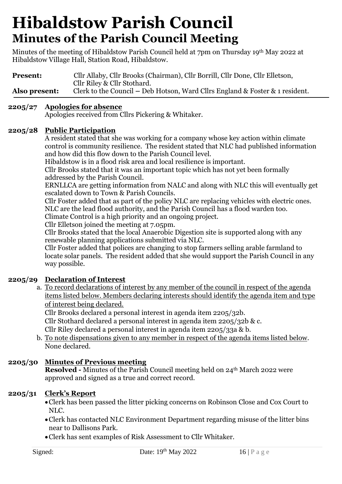Minutes of the meeting of Hibaldstow Parish Council held at 7pm on Thursday 19th May 2022 at Hibaldstow Village Hall, Station Road, Hibaldstow.

| <b>Present:</b> | Cllr Allaby, Cllr Brooks (Chairman), Cllr Borrill, Cllr Done, Cllr Elletson, |  |  |
|-----------------|------------------------------------------------------------------------------|--|--|
|                 | Cllr Riley & Cllr Stothard.                                                  |  |  |
| Also present:   | Clerk to the Council – Deb Hotson, Ward Cllrs England & Foster & 1 resident. |  |  |

### **2205/27 Apologies for absence**

Apologies received from Cllrs Pickering & Whitaker.

### **2205/28 Public Participation**

A resident stated that she was working for a company whose key action within climate control is community resilience. The resident stated that NLC had published information and how did this flow down to the Parish Council level.

Hibaldstow is in a flood risk area and local resilience is important.

Cllr Brooks stated that it was an important topic which has not yet been formally addressed by the Parish Council.

ERNLLCA are getting information from NALC and along with NLC this will eventually get escalated down to Town & Parish Councils.

Cllr Foster added that as part of the policy NLC are replacing vehicles with electric ones. NLC are the lead flood authority, and the Parish Council has a flood warden too. Climate Control is a high priority and an ongoing project.

Cllr Elletson joined the meeting at 7.05pm.

Cllr Brooks stated that the local Anaerobic Digestion site is supported along with any renewable planning applications submitted via NLC.

Cllr Foster added that polices are changing to stop farmers selling arable farmland to locate solar panels. The resident added that she would support the Parish Council in any way possible.

### **2205/29 Declaration of Interest**

a. To record declarations of interest by any member of the council in respect of the agenda items listed below. Members declaring interests should identify the agenda item and type of interest being declared.

Cllr Brooks declared a personal interest in agenda item 2205/32b.

Cllr Stothard declared a personal interest in agenda item 2205/32b & c.

Cllr Riley declared a personal interest in agenda item 2205/33a & b.

b. To note dispensations given to any member in respect of the agenda items listed below. None declared.

### **2205/30 Minutes of Previous meeting**

**Resolved -** Minutes of the Parish Council meeting held on 24<sup>th</sup> March 2022 were approved and signed as a true and correct record.

### **2205/31 Clerk's Report**

- •Clerk has been passed the litter picking concerns on Robinson Close and Cox Court to NLC.
- •Clerk has contacted NLC Environment Department regarding misuse of the litter bins near to Dallisons Park.
- •Clerk has sent examples of Risk Assessment to Cllr Whitaker.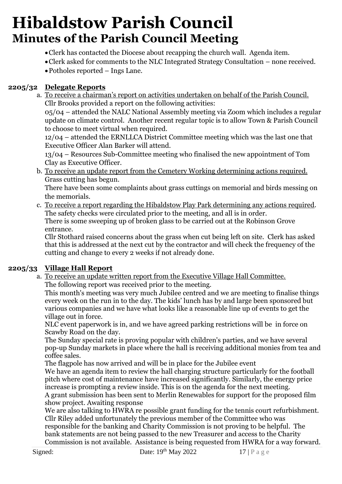- •Clerk has contacted the Diocese about recapping the church wall. Agenda item.
- •Clerk asked for comments to the NLC Integrated Strategy Consultation none received.
- •Potholes reported Ings Lane.

### **2205/32 Delegate Reports**

a. To receive a chairman's report on activities undertaken on behalf of the Parish Council. Cllr Brooks provided a report on the following activities:

05/04 – attended the NALC National Assembly meeting via Zoom which includes a regular update on climate control. Another recent regular topic is to allow Town & Parish Council to choose to meet virtual when required.

12/04 – attended the ERNLLCA District Committee meeting which was the last one that Executive Officer Alan Barker will attend.

13/04 – Resources Sub-Committee meeting who finalised the new appointment of Tom Clay as Executive Officer.

b. To receive an update report from the Cemetery Working determining actions required. Grass cutting has begun.

There have been some complaints about grass cuttings on memorial and birds messing on the memorials.

c. To receive a report regarding the Hibaldstow Play Park determining any actions required. The safety checks were circulated prior to the meeting, and all is in order. There is some sweeping up of broken glass to be carried out at the Robinson Grove entrance.

Cllr Stothard raised concerns about the grass when cut being left on site. Clerk has asked that this is addressed at the next cut by the contractor and will check the frequency of the cutting and change to every 2 weeks if not already done.

### **2205/33 Village Hall Report**

a. To receive an update written report from the Executive Village Hall Committee. The following report was received prior to the meeting.

This month's meeting was very much Jubilee centred and we are meeting to finalise things every week on the run in to the day. The kids' lunch has by and large been sponsored but various companies and we have what looks like a reasonable line up of events to get the village out in force.

NLC event paperwork is in, and we have agreed parking restrictions will be in force on Scawby Road on the day.

The Sunday special rate is proving popular with children's parties, and we have several pop-up Sunday markets in place where the hall is receiving additional monies from tea and coffee sales.

The flagpole has now arrived and will be in place for the Jubilee event

We have an agenda item to review the hall charging structure particularly for the football pitch where cost of maintenance have increased significantly. Similarly, the energy price increase is prompting a review inside. This is on the agenda for the next meeting.

A grant submission has been sent to Merlin Renewables for support for the proposed film show project. Awaiting response

We are also talking to HWRA re possible grant funding for the tennis court refurbishment. Cllr Riley added unfortunately the previous member of the Committee who was responsible for the banking and Charity Commission is not proving to be helpful. The

bank statements are not being passed to the new Treasurer and access to the Charity Commission is not available. Assistance is being requested from HWRA for a way forward.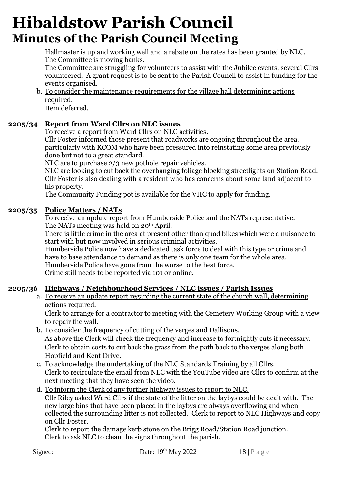Hallmaster is up and working well and a rebate on the rates has been granted by NLC. The Committee is moving banks.

The Committee are struggling for volunteers to assist with the Jubilee events, several Cllrs volunteered. A grant request is to be sent to the Parish Council to assist in funding for the events organised.

b. To consider the maintenance requirements for the village hall determining actions required.

Item deferred.

## **2205/34 Report from Ward Cllrs on NLC issues**

To receive a report from Ward Cllrs on NLC activities.

Cllr Foster informed those present that roadworks are ongoing throughout the area, particularly with KCOM who have been pressured into reinstating some area previously done but not to a great standard.

NLC are to purchase 2/3 new pothole repair vehicles.

NLC are looking to cut back the overhanging foliage blocking streetlights on Station Road. Cllr Foster is also dealing with a resident who has concerns about some land adjacent to his property.

The Community Funding pot is available for the VHC to apply for funding.

## **2205/35 Police Matters / NATs**

To receive an update report from Humberside Police and the NATs representative. The NATs meeting was held on 20<sup>th</sup> April.

There is little crime in the area at present other than quad bikes which were a nuisance to start with but now involved in serious criminal activities.

Humberside Police now have a dedicated task force to deal with this type or crime and have to base attendance to demand as there is only one team for the whole area. Humberside Police have gone from the worse to the best force. Crime still needs to be reported via 101 or online.

## **2205/36 Highways / Neighbourhood Services / NLC issues / Parish Issues**

a. To receive an update report regarding the current state of the church wall, determining actions required.

Clerk to arrange for a contractor to meeting with the Cemetery Working Group with a view to repair the wall.

- b. To consider the frequency of cutting of the verges and Dallisons. As above the Clerk will check the frequency and increase to fortnightly cuts if necessary. Clerk to obtain costs to cut back the grass from the path back to the verges along both Hopfield and Kent Drive.
- c. To acknowledge the undertaking of the NLC Standards Training by all Cllrs. Clerk to recirculate the email from NLC with the YouTube video are Cllrs to confirm at the next meeting that they have seen the video.
- d. To inform the Clerk of any further highway issues to report to NLC. Cllr Riley asked Ward Cllrs if the state of the litter on the laybys could be dealt with. The new large bins that have been placed in the laybys are always overflowing and when collected the surrounding litter is not collected. Clerk to report to NLC Highways and copy on Cllr Foster.

Clerk to report the damage kerb stone on the Brigg Road/Station Road junction. Clerk to ask NLC to clean the signs throughout the parish.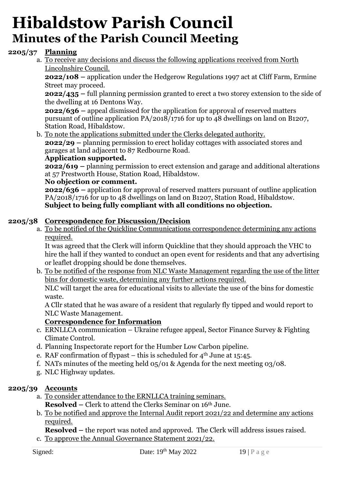### **2205/37 Planning**

a. To receive any decisions and discuss the following applications received from North Lincolnshire Council.

**2022/108 –** application under the Hedgerow Regulations 1997 act at Cliff Farm, Ermine Street may proceed.

**2022/435 –** full planning permission granted to erect a two storey extension to the side of the dwelling at 16 Dentons Way.

**2022/636 –** appeal dismissed for the application for approval of reserved matters pursuant of outline application PA/2018/1716 for up to 48 dwellings on land on B1207, Station Road, Hibaldstow.

b. To note the applications submitted under the Clerks delegated authority.

**2022/29 –** planning permission to erect holiday cottages with associated stores and garages at land adjacent to 87 Redbourne Road.

#### **Application supported.**

**2022/619 –** planning permission to erect extension and garage and additional alterations at 57 Prestworth House, Station Road, Hibaldstow.

### **No objection or comment.**

**2022/636 –** application for approval of reserved matters pursuant of outline application PA/2018/1716 for up to 48 dwellings on land on B1207, Station Road, Hibaldstow. **Subject to being fully compliant with all conditions no objection.**

### **2205/38 Correspondence for Discussion/Decision**

a. To be notified of the Quickline Communications correspondence determining any actions required.

It was agreed that the Clerk will inform Quickline that they should approach the VHC to hire the hall if they wanted to conduct an open event for residents and that any advertising or leaflet dropping should be done themselves.

b. To be notified of the response from NLC Waste Management regarding the use of the litter bins for domestic waste, determining any further actions required.

NLC will target the area for educational visits to alleviate the use of the bins for domestic waste.

A Cllr stated that he was aware of a resident that regularly fly tipped and would report to NLC Waste Management.

#### **Correspondence for Information**

- c. ERNLLCA communication Ukraine refugee appeal, Sector Finance Survey & Fighting Climate Control.
- d. Planning Inspectorate report for the Humber Low Carbon pipeline.
- e. RAF confirmation of flypast this is scheduled for  $4<sup>th</sup>$  June at 15:45.
- f. NATs minutes of the meeting held 05/01 & Agenda for the next meeting 03/08.
- g. NLC Highway updates.

### **2205/39 Accounts**

- a. To consider attendance to the ERNLLCA training seminars. **Resolved –** Clerk to attend the Clerks Seminar on 16th June.
- b. To be notified and approve the Internal Audit report 2021/22 and determine any actions required.

**Resolved** – the report was noted and approved. The Clerk will address issues raised.

c. To approve the Annual Governance Statement 2021/22.